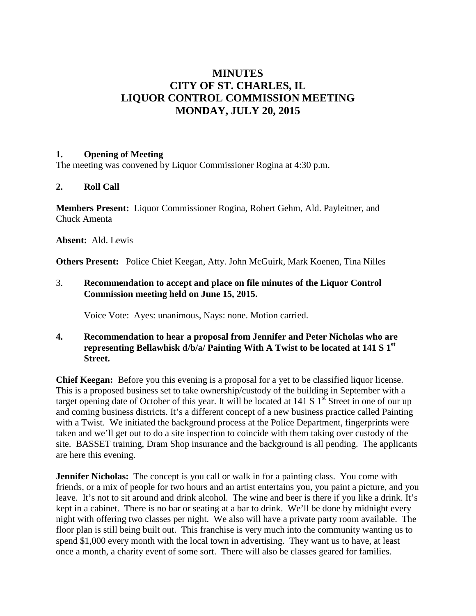# **MINUTES CITY OF ST. CHARLES, IL LIQUOR CONTROL COMMISSION MEETING MONDAY, JULY 20, 2015**

#### **1. Opening of Meeting**

The meeting was convened by Liquor Commissioner Rogina at 4:30 p.m.

## **2. Roll Call**

**Members Present:** Liquor Commissioner Rogina, Robert Gehm, Ald. Payleitner, and Chuck Amenta

**Absent:** Ald. Lewis

**Others Present:** Police Chief Keegan, Atty. John McGuirk, Mark Koenen, Tina Nilles

#### 3. **Recommendation to accept and place on file minutes of the Liquor Control Commission meeting held on June 15, 2015.**

Voice Vote: Ayes: unanimous, Nays: none. Motion carried.

#### **4. Recommendation to hear a proposal from Jennifer and Peter Nicholas who are representing Bellawhisk d/b/a/ Painting With A Twist to be located at 141 S 1st Street.**

**Chief Keegan:** Before you this evening is a proposal for a yet to be classified liquor license. This is a proposed business set to take ownership/custody of the building in September with a target opening date of October of this year. It will be located at 141 S  $1<sup>st</sup>$  Street in one of our up and coming business districts. It's a different concept of a new business practice called Painting with a Twist. We initiated the background process at the Police Department, fingerprints were taken and we'll get out to do a site inspection to coincide with them taking over custody of the site. BASSET training, Dram Shop insurance and the background is all pending. The applicants are here this evening.

**Jennifer Nicholas:** The concept is you call or walk in for a painting class. You come with friends, or a mix of people for two hours and an artist entertains you, you paint a picture, and you leave. It's not to sit around and drink alcohol. The wine and beer is there if you like a drink. It's kept in a cabinet. There is no bar or seating at a bar to drink. We'll be done by midnight every night with offering two classes per night. We also will have a private party room available. The floor plan is still being built out. This franchise is very much into the community wanting us to spend \$1,000 every month with the local town in advertising. They want us to have, at least once a month, a charity event of some sort. There will also be classes geared for families.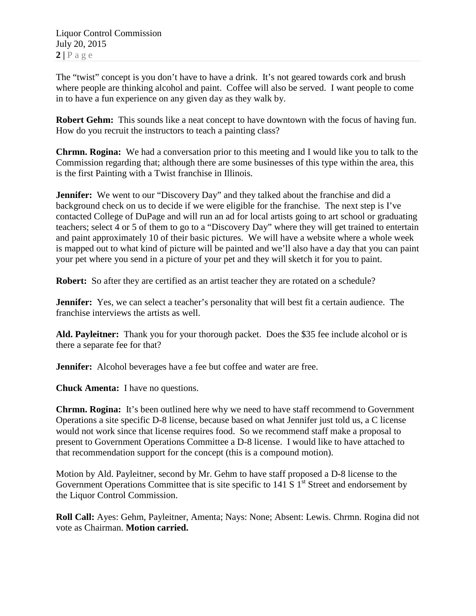The "twist" concept is you don't have to have a drink. It's not geared towards cork and brush where people are thinking alcohol and paint. Coffee will also be served. I want people to come in to have a fun experience on any given day as they walk by.

**Robert Gehm:** This sounds like a neat concept to have downtown with the focus of having fun. How do you recruit the instructors to teach a painting class?

**Chrmn. Rogina:** We had a conversation prior to this meeting and I would like you to talk to the Commission regarding that; although there are some businesses of this type within the area, this is the first Painting with a Twist franchise in Illinois.

**Jennifer:** We went to our "Discovery Day" and they talked about the franchise and did a background check on us to decide if we were eligible for the franchise. The next step is I've contacted College of DuPage and will run an ad for local artists going to art school or graduating teachers; select 4 or 5 of them to go to a "Discovery Day" where they will get trained to entertain and paint approximately 10 of their basic pictures. We will have a website where a whole week is mapped out to what kind of picture will be painted and we'll also have a day that you can paint your pet where you send in a picture of your pet and they will sketch it for you to paint.

**Robert:** So after they are certified as an artist teacher they are rotated on a schedule?

**Jennifer:** Yes, we can select a teacher's personality that will best fit a certain audience. The franchise interviews the artists as well.

**Ald. Payleitner:** Thank you for your thorough packet. Does the \$35 fee include alcohol or is there a separate fee for that?

**Jennifer:** Alcohol beverages have a fee but coffee and water are free.

**Chuck Amenta:** I have no questions.

**Chrmn. Rogina:** It's been outlined here why we need to have staff recommend to Government Operations a site specific D-8 license, because based on what Jennifer just told us, a C license would not work since that license requires food. So we recommend staff make a proposal to present to Government Operations Committee a D-8 license. I would like to have attached to that recommendation support for the concept (this is a compound motion).

Motion by Ald. Payleitner, second by Mr. Gehm to have staff proposed a D-8 license to the Government Operations Committee that is site specific to 141 S  $1<sup>st</sup>$  Street and endorsement by the Liquor Control Commission.

**Roll Call:** Ayes: Gehm, Payleitner, Amenta; Nays: None; Absent: Lewis. Chrmn. Rogina did not vote as Chairman. **Motion carried.**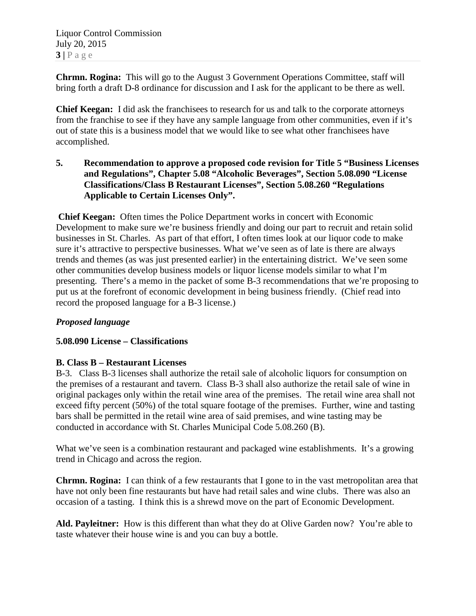Liquor Control Commission July 20, 2015  $3|$   $P$  a g e

**Chrmn. Rogina:** This will go to the August 3 Government Operations Committee, staff will bring forth a draft D-8 ordinance for discussion and I ask for the applicant to be there as well.

**Chief Keegan:** I did ask the franchisees to research for us and talk to the corporate attorneys from the franchise to see if they have any sample language from other communities, even if it's out of state this is a business model that we would like to see what other franchisees have accomplished.

**5. Recommendation to approve a proposed code revision for Title 5 "Business Licenses and Regulations", Chapter 5.08 "Alcoholic Beverages", Section 5.08.090 "License Classifications/Class B Restaurant Licenses", Section 5.08.260 "Regulations Applicable to Certain Licenses Only".**

**Chief Keegan:** Often times the Police Department works in concert with Economic Development to make sure we're business friendly and doing our part to recruit and retain solid businesses in St. Charles. As part of that effort, I often times look at our liquor code to make sure it's attractive to perspective businesses. What we've seen as of late is there are always trends and themes (as was just presented earlier) in the entertaining district. We've seen some other communities develop business models or liquor license models similar to what I'm presenting. There's a memo in the packet of some B-3 recommendations that we're proposing to put us at the forefront of economic development in being business friendly. (Chief read into record the proposed language for a B-3 license.)

## *Proposed language*

## **5.08.090 License – Classifications**

#### **B. Class B – Restaurant Licenses**

B-3. Class B-3 licenses shall authorize the retail sale of alcoholic liquors for consumption on the premises of a restaurant and tavern. Class B-3 shall also authorize the retail sale of wine in original packages only within the retail wine area of the premises. The retail wine area shall not exceed fifty percent (50%) of the total square footage of the premises. Further, wine and tasting bars shall be permitted in the retail wine area of said premises, and wine tasting may be conducted in accordance with St. Charles Municipal Code 5.08.260 (B).

What we've seen is a combination restaurant and packaged wine establishments. It's a growing trend in Chicago and across the region.

**Chrmn. Rogina:** I can think of a few restaurants that I gone to in the vast metropolitan area that have not only been fine restaurants but have had retail sales and wine clubs. There was also an occasion of a tasting. I think this is a shrewd move on the part of Economic Development.

**Ald. Payleitner:** How is this different than what they do at Olive Garden now? You're able to taste whatever their house wine is and you can buy a bottle.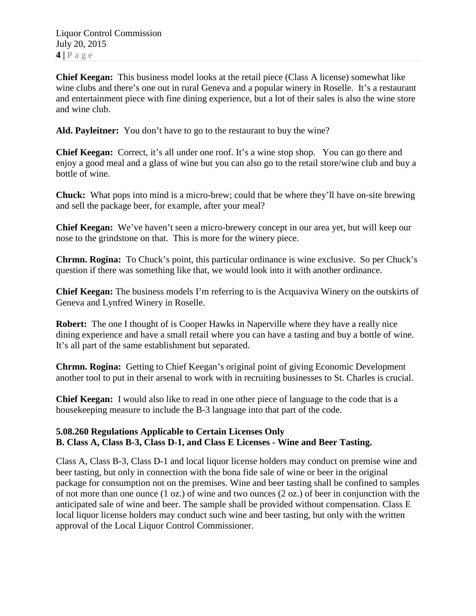**Chief Keegan:** This business model looks at the retail piece (Class A license) somewhat like wine clubs and there's one out in rural Geneva and a popular winery in Roselle. It's a restaurant and entertainment piece with fine dining experience, but a lot of their sales is also the wine store and wine club.

**Ald. Payleitner:** You don't have to go to the restaurant to buy the wine?

**Chief Keegan:** Correct, it's all under one roof. It's a wine stop shop. You can go there and enjoy a good meal and a glass of wine but you can also go to the retail store/wine club and buy a bottle of wine.

**Chuck:** What pops into mind is a micro-brew; could that be where they'll have on-site brewing and sell the package beer, for example, after your meal?

**Chief Keegan:** We've haven't seen a micro-brewery concept in our area yet, but will keep our nose to the grindstone on that. This is more for the winery piece.

**Chrmn. Rogina:** To Chuck's point, this particular ordinance is wine exclusive. So per Chuck's question if there was something like that, we would look into it with another ordinance.

**Chief Keegan:** The business models I'm referring to is the Acquaviva Winery on the outskirts of Geneva and Lynfred Winery in Roselle.

**Robert:** The one I thought of is Cooper Hawks in Naperville where they have a really nice dining experience and have a small retail where you can have a tasting and buy a bottle of wine. It's all part of the same establishment but separated.

**Chrmn. Rogina:** Getting to Chief Keegan's original point of giving Economic Development another tool to put in their arsenal to work with in recruiting businesses to St. Charles is crucial.

**Chief Keegan:** I would also like to read in one other piece of language to the code that is a housekeeping measure to include the B-3 language into that part of the code.

## **5.08.260 Regulations Applicable to Certain Licenses Only B. Class A, Class B-3, Class D-1, and Class E Licenses - Wine and Beer Tasting.**

Class A, Class B-3, Class D-1 and local liquor license holders may conduct on premise wine and beer tasting, but only in connection with the bona fide sale of wine or beer in the original package for consumption not on the premises. Wine and beer tasting shall be confined to samples of not more than one ounce (1 oz.) of wine and two ounces (2 oz.) of beer in conjunction with the anticipated sale of wine and beer. The sample shall be provided without compensation. Class E local liquor license holders may conduct such wine and beer tasting, but only with the written approval of the Local Liquor Control Commissioner.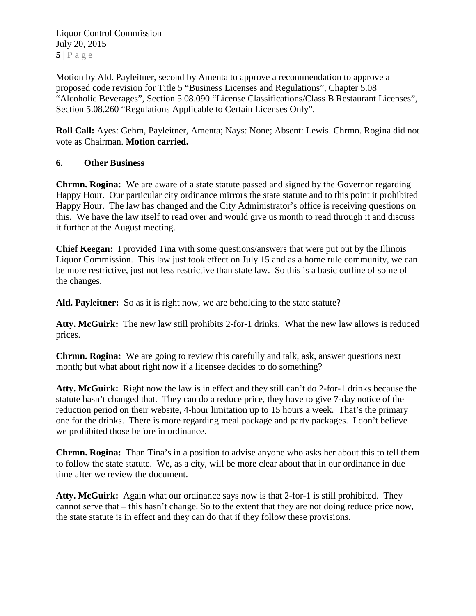Liquor Control Commission July 20, 2015  $5|$   $P$  a g e

Motion by Ald. Payleitner, second by Amenta to approve a recommendation to approve a proposed code revision for Title 5 "Business Licenses and Regulations", Chapter 5.08 "Alcoholic Beverages", Section 5.08.090 "License Classifications/Class B Restaurant Licenses", Section 5.08.260 "Regulations Applicable to Certain Licenses Only".

**Roll Call:** Ayes: Gehm, Payleitner, Amenta; Nays: None; Absent: Lewis. Chrmn. Rogina did not vote as Chairman. **Motion carried.**

#### **6. Other Business**

**Chrmn. Rogina:** We are aware of a state statute passed and signed by the Governor regarding Happy Hour. Our particular city ordinance mirrors the state statute and to this point it prohibited Happy Hour. The law has changed and the City Administrator's office is receiving questions on this. We have the law itself to read over and would give us month to read through it and discuss it further at the August meeting.

**Chief Keegan:** I provided Tina with some questions/answers that were put out by the Illinois Liquor Commission. This law just took effect on July 15 and as a home rule community, we can be more restrictive, just not less restrictive than state law. So this is a basic outline of some of the changes.

Ald. Payleitner: So as it is right now, we are beholding to the state statute?

**Atty. McGuirk:** The new law still prohibits 2-for-1 drinks. What the new law allows is reduced prices.

**Chrmn. Rogina:** We are going to review this carefully and talk, ask, answer questions next month; but what about right now if a licensee decides to do something?

**Atty. McGuirk:** Right now the law is in effect and they still can't do 2-for-1 drinks because the statute hasn't changed that. They can do a reduce price, they have to give 7-day notice of the reduction period on their website, 4-hour limitation up to 15 hours a week. That's the primary one for the drinks. There is more regarding meal package and party packages. I don't believe we prohibited those before in ordinance.

**Chrmn. Rogina:** Than Tina's in a position to advise anyone who asks her about this to tell them to follow the state statute. We, as a city, will be more clear about that in our ordinance in due time after we review the document.

**Atty. McGuirk:** Again what our ordinance says now is that 2-for-1 is still prohibited. They cannot serve that – this hasn't change. So to the extent that they are not doing reduce price now, the state statute is in effect and they can do that if they follow these provisions.